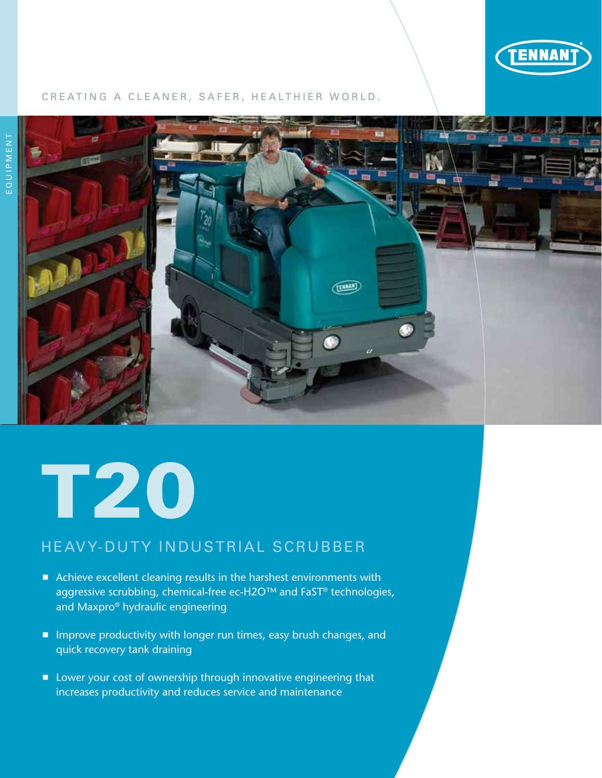

#### CREATING A CLEANER, SAFER, HEALTHIER WORLD.



# T20

## HEAVY-DUTY INDUSTRIAL SCRUBBER

- Achieve excellent cleaning results in the harshest environments with aggressive scrubbing, chemical-free ec-H2O™ and FaST® technologies, and Maxpro® hydraulic engineering
- **Improve productivity with longer run times, easy brush changes, and** quick recovery tank draining
- **E** Lower your cost of ownership through innovative engineering that increases productivity and reduces service and maintenance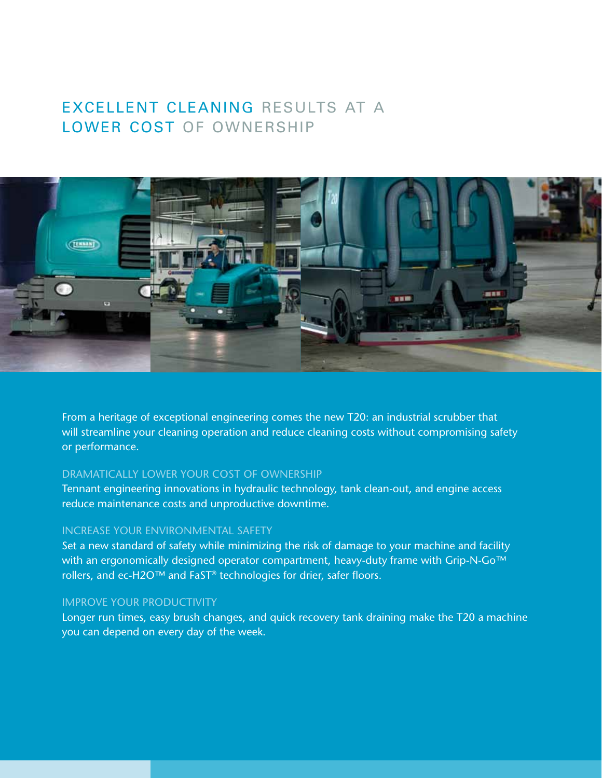## Excellent cleaning results at a LOWER COST OF OWNERSHIP



From a heritage of exceptional engineering comes the new T20: an industrial scrubber that will streamline your cleaning operation and reduce cleaning costs without compromising safety or performance.

#### Dramatically lower your cost of ownership

Tennant engineering innovations in hydraulic technology, tank clean-out, and engine access reduce maintenance costs and unproductive downtime.

#### Increase your environmental safety

Set a new standard of safety while minimizing the risk of damage to your machine and facility with an ergonomically designed operator compartment, heavy-duty frame with Grip-N-Go<sup>™</sup> rollers, and ec-H2O™ and FaST® technologies for drier, safer floors.

#### Improve your productivity

Longer run times, easy brush changes, and quick recovery tank draining make the T20 a machine you can depend on every day of the week.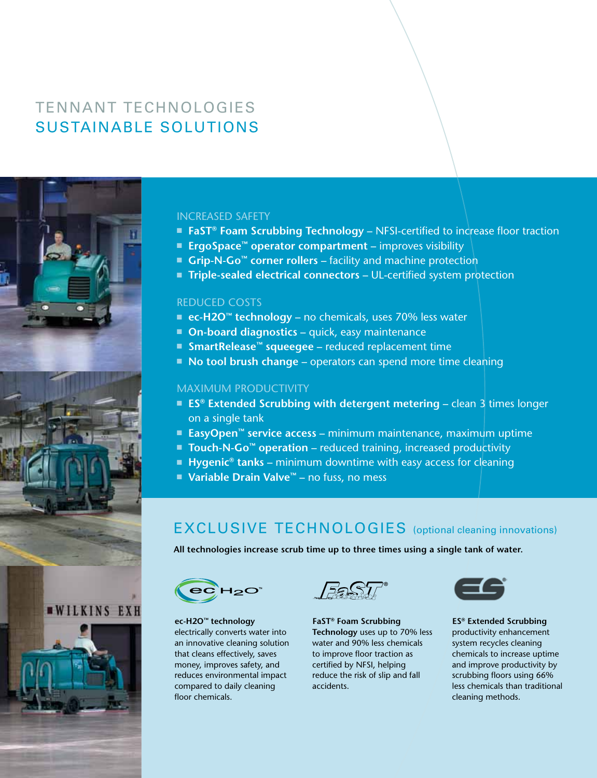# Tennant technologieS SUSTAINABLE SOLUTIONs



#### INCREASED SAFETY

- **FaST<sup>®</sup> Foam Scrubbing Technology** NFSI-certified to increase floor traction
- ErgoSpace<sup>™</sup> operator compartment improves visibility
- Grip-N-Go<sup>™</sup> corner rollers facility and machine protection
- Triple-sealed electrical connectors UL-certified system protection

#### REDUCED COSTS

- ec-H2O<sup>™</sup> technology no chemicals, uses 70% less water
- **n On-board diagnostics quick, easy maintenance**
- SmartRelease<sup>™</sup> squeegee reduced replacement time
- **No tool brush change** operators can spend more time cleaning

#### MAXIMUM PRODUCTIVITY

- **ES<sup>®</sup> Extended Scrubbing with detergent metering** clean 3 times longer on a single tank
- **EasyOpen<sup>™</sup> service access** minimum maintenance, maximum uptime
- **Touch-N-Go<sup>™</sup> operation** reduced training, increased productivity
- **Hygenic<sup>®</sup> tanks** minimum downtime with easy access for cleaning
- Variable Drain Valve<sup>™</sup> no fuss, no mess

## EXCLUSIVE TECHNOLOGIES (optional cleaning innovations)

**All technologies increase scrub time up to three times using a single tank of water.**



**ec-H2O™ technology** electrically converts water into an innovative cleaning solution that cleans effectively, saves money, improves safety, and reduces environmental impact compared to daily cleaning floor chemicals.

**FaST® Foam Scrubbing Technology** uses up to 70% less water and 90% less chemicals to improve floor traction as certified by NFSI, helping reduce the risk of slip and fall accidents.



**ES® Extended Scrubbing** productivity enhancement system recycles cleaning chemicals to increase uptime and improve productivity by scrubbing floors using 66% less chemicals than traditional cleaning methods.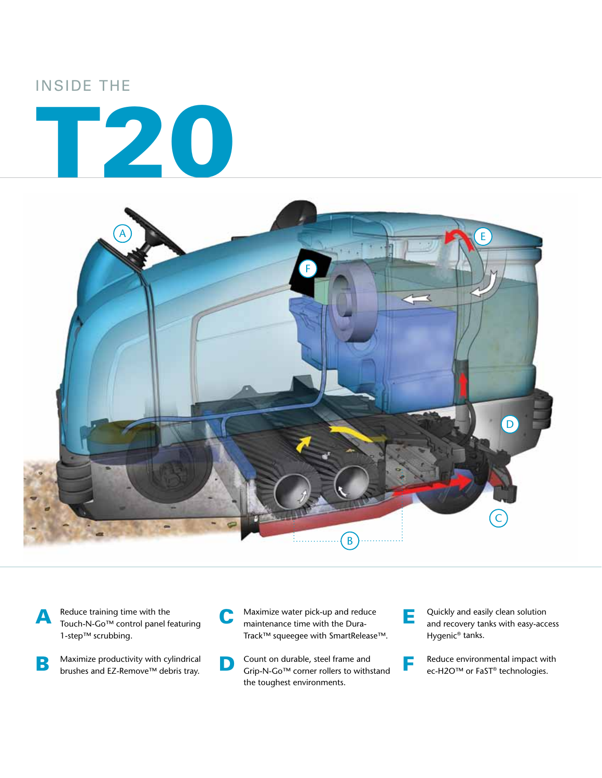## Inside the





A Reduce training time with the<br>Touch-N-Go™ control panel featuring 1-step™ scrubbing.

 $\mathbf{B}$  Maximize productivity with cylindrical brushes and EZ-Remove™ debris tray.

C Maximize water pick-up and reduce maintenance time with the Dura-Track™ squeegee with SmartRelease™.

- Count on durable, steel frame and Grip-N-Go™ corner rollers to withstand the toughest environments.
- **E** Quickly and easily clean solution and recovery tanks with easy-access Hygenic® tanks.

**F** Reduce environmental impact with ec-H2O™ or FaST® technologies.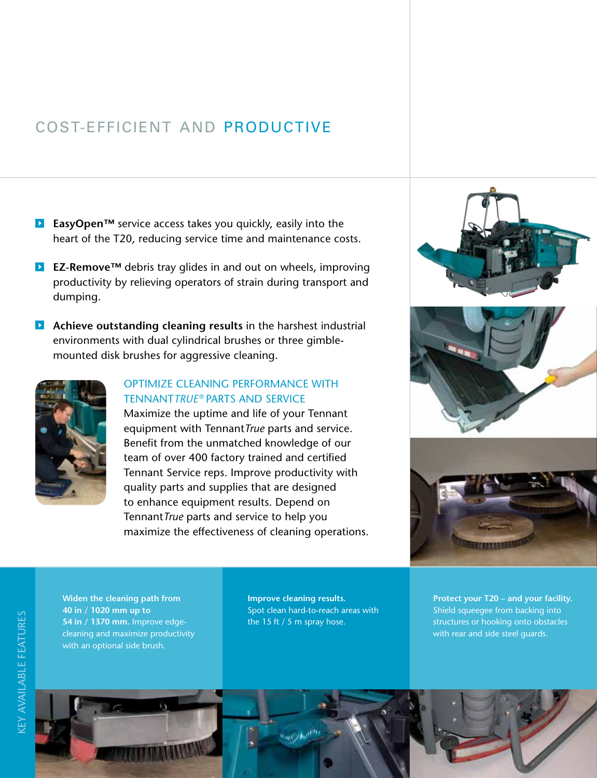# COST-EFFICIENT AND productivE

- **EasyOpen™** service access takes you quickly, easily into the heart of the T20, reducing service time and maintenance costs.
- **EZ-Remove™** debris tray glides in and out on wheels, improving productivity by relieving operators of strain during transport and dumping.
- **Achieve outstanding cleaning results** in the harshest industrial environments with dual cylindrical brushes or three gimblemounted disk brushes for aggressive cleaning.



### OPTIMIZE cleaning PERFORMANCE WITH Tennant*True* ® parts and service

Maximize the uptime and life of your Tennant equipment with Tennant*True* parts and service. Benefit from the unmatched knowledge of our team of over 400 factory trained and certified Tennant Service reps. Improve productivity with quality parts and supplies that are designed to enhance equipment results. Depend on Tennant*True* parts and service to help you maximize the effectiveness of cleaning operations.





**Widen the cleaning path from 40 in / 1020 mm up to 54 in / 1370 mm.** Improve edgecleaning and maximize productivity with an optional side brush.

**Improve cleaning results.** Spot clean hard-to-reach areas with the 15 ft / 5 m spray hose.

**Protect your T20 – and your facility.** Shield squeegee from backing into structures or hooking onto obstacles with rear and side steel guards.